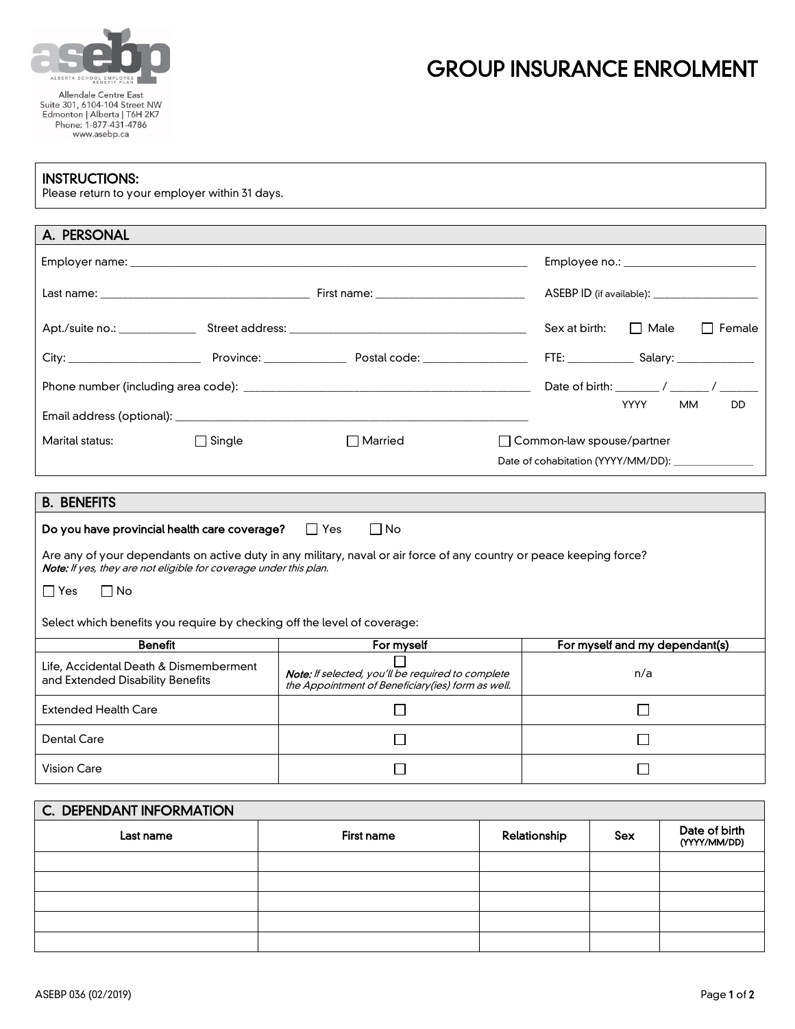

## GROUP INSURANCE ENROLMENT

## INSTRUCTIONS:

Please return to your employer within 31 days.

| A. PERSONAL                    |                               |                                                                                                                |                                                |
|--------------------------------|-------------------------------|----------------------------------------------------------------------------------------------------------------|------------------------------------------------|
|                                |                               |                                                                                                                | Employee no.: _______________________          |
|                                |                               | First name: ______________________________                                                                     |                                                |
| Apt./suite no.: ______________ |                               |                                                                                                                | Sex at birth:<br>□ Male<br>Female              |
|                                | Province: <b>Example 2019</b> | Postal code: with a state of the state of the state of the state of the state of the state of the state of the | FTE: ________________ Salary: ________________ |
|                                |                               |                                                                                                                |                                                |
|                                |                               |                                                                                                                | YYYY<br>DD<br><b>MM</b>                        |
| Marital status:                | $\Box$ Single                 | $\sqcap$ Married                                                                                               | □ Common-law spouse/partner                    |
|                                |                               |                                                                                                                |                                                |

| <b>B. BENEFITS</b>                                                                                                                                                                        |                                                                                                               |                                |  |
|-------------------------------------------------------------------------------------------------------------------------------------------------------------------------------------------|---------------------------------------------------------------------------------------------------------------|--------------------------------|--|
| $\Box$ No<br>Do you have provincial health care coverage?<br>∣ l Yes                                                                                                                      |                                                                                                               |                                |  |
| Are any of your dependants on active duty in any military, naval or air force of any country or peace keeping force?<br>Note: If yes, they are not eligible for coverage under this plan. |                                                                                                               |                                |  |
| ∩ No<br>Yes<br>$\mathsf{L}$                                                                                                                                                               |                                                                                                               |                                |  |
| Select which benefits you require by checking off the level of coverage:                                                                                                                  |                                                                                                               |                                |  |
| <b>Benefit</b>                                                                                                                                                                            | For myself                                                                                                    | For myself and my dependant(s) |  |
| Life, Accidental Death & Dismemberment<br>and Extended Disability Benefits                                                                                                                | <b>Note:</b> If selected, you'll be required to complete<br>the Appointment of Beneficiary(ies) form as well. | n/a                            |  |
| <b>Extended Health Care</b>                                                                                                                                                               |                                                                                                               |                                |  |
| Dental Care                                                                                                                                                                               |                                                                                                               |                                |  |
| Vision Care                                                                                                                                                                               |                                                                                                               |                                |  |

| C. DEPENDANT INFORMATION |            |              |     |                               |
|--------------------------|------------|--------------|-----|-------------------------------|
| Last name                | First name | Relationship | Sex | Date of birth<br>(YYYY/MM/DD) |
|                          |            |              |     |                               |
|                          |            |              |     |                               |
|                          |            |              |     |                               |
|                          |            |              |     |                               |
|                          |            |              |     |                               |